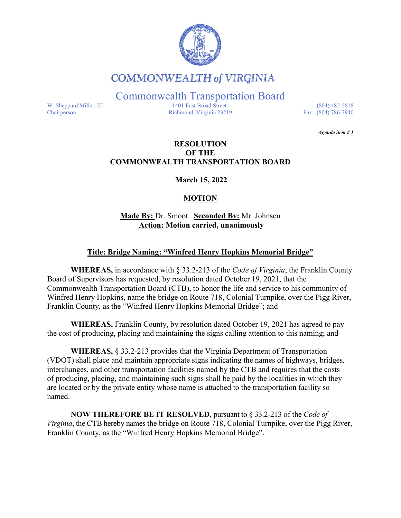

# **COMMONWEALTH of VIRGINIA**

Commonwealth Transportation Board

W. Sheppard Miller, III 1401 East Broad Street (804) 482-5818<br>Chairperson Richmond, Virginia 23219 Fax: (804) 786-2940 Richmond, Virginia 23219

*Agenda item # 1* 

#### **RESOLUTION OF THE COMMONWEALTH TRANSPORTATION BOARD**

**March 15, 2022**

## **MOTION**

**Made By:** Dr. Smoot **Seconded By:** Mr. Johnsen **Action: Motion carried, unanimously**

### **Title: Bridge Naming: "Winfred Henry Hopkins Memorial Bridge"**

**WHEREAS,** in accordance with § 33.2-213 of the *Code of Virginia*, the Franklin County Board of Supervisors has requested, by resolution dated October 19, 2021, that the Commonwealth Transportation Board (CTB), to honor the life and service to his community of Winfred Henry Hopkins, name the bridge on Route 718, Colonial Turnpike, over the Pigg River, Franklin County, as the "Winfred Henry Hopkins Memorial Bridge"; and

**WHEREAS,** Franklin County, by resolution dated October 19, 2021 has agreed to pay the cost of producing, placing and maintaining the signs calling attention to this naming; and

**WHEREAS,** § 33.2-213 provides that the Virginia Department of Transportation (VDOT) shall place and maintain appropriate signs indicating the names of highways, bridges, interchanges, and other transportation facilities named by the CTB and requires that the costs of producing, placing, and maintaining such signs shall be paid by the localities in which they are located or by the private entity whose name is attached to the transportation facility so named.

**NOW THEREFORE BE IT RESOLVED,** pursuant to § 33.2-213 of the *Code of Virginia*, the CTB hereby names the bridge on Route 718, Colonial Turnpike, over the Pigg River, Franklin County, as the "Winfred Henry Hopkins Memorial Bridge".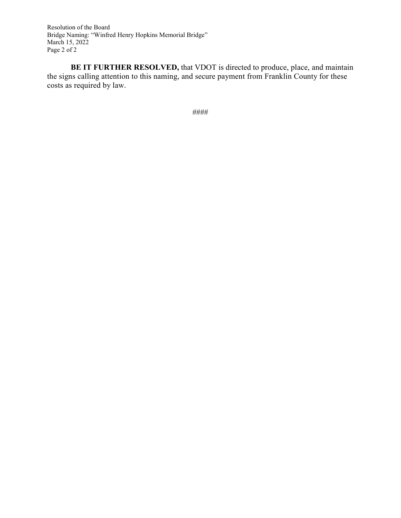Resolution of the Board Bridge Naming: "Winfred Henry Hopkins Memorial Bridge" March 15, 2022 Page 2 of 2

**BE IT FURTHER RESOLVED,** that VDOT is directed to produce, place, and maintain the signs calling attention to this naming, and secure payment from Franklin County for these costs as required by law.

####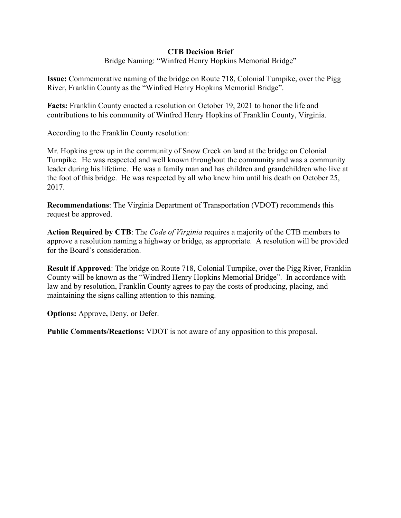#### **CTB Decision Brief**

Bridge Naming: "Winfred Henry Hopkins Memorial Bridge"

**Issue:** Commemorative naming of the bridge on Route 718, Colonial Turnpike, over the Pigg River, Franklin County as the "Winfred Henry Hopkins Memorial Bridge".

**Facts:** Franklin County enacted a resolution on October 19, 2021 to honor the life and contributions to his community of Winfred Henry Hopkins of Franklin County, Virginia.

According to the Franklin County resolution:

Mr. Hopkins grew up in the community of Snow Creek on land at the bridge on Colonial Turnpike. He was respected and well known throughout the community and was a community leader during his lifetime. He was a family man and has children and grandchildren who live at the foot of this bridge. He was respected by all who knew him until his death on October 25, 2017.

**Recommendations**: The Virginia Department of Transportation (VDOT) recommends this request be approved.

**Action Required by CTB**: The *Code of Virginia* requires a majority of the CTB members to approve a resolution naming a highway or bridge, as appropriate. A resolution will be provided for the Board's consideration.

**Result if Approved**: The bridge on Route 718, Colonial Turnpike, over the Pigg River, Franklin County will be known as the "Windred Henry Hopkins Memorial Bridge". In accordance with law and by resolution, Franklin County agrees to pay the costs of producing, placing, and maintaining the signs calling attention to this naming.

**Options:** Approve**,** Deny, or Defer.

**Public Comments/Reactions:** VDOT is not aware of any opposition to this proposal.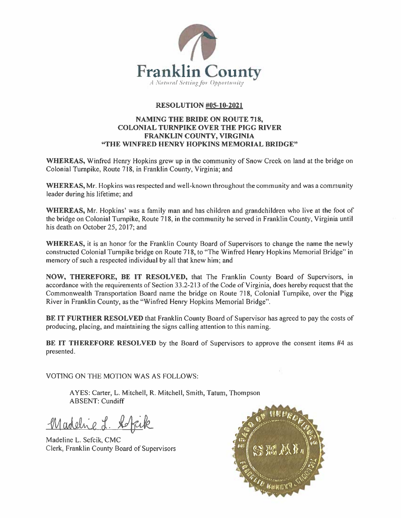

#### **RESOLUTION #05-10-2021**

#### **NAMING THE BRIDE ON ROUTE 718, COLONIAL TURNPIKE OVER THE PIGG RIVER** FRANKLIN COUNTY, VIRGINIA "THE WINFRED HENRY HOPKINS MEMORIAL BRIDGE"

**WHEREAS,** Winfred Henry Hopkins grew up in the community of Snow Creek on land at the bridge on Colonial Turnpike, Route 718, in Franklin County, Virginia; and

WHEREAS, Mr. Hopkins was respected and well-known throughout the community and was a community leader during his lifetime; and

**WHEREAS, Mr.** Hopkins' was a family man and has children and grandchildren who live at the foot of the bridge on Colonial Turnpike, Route 718, in the community he served in Franklin County, Virginia until his death on October 25, 2017; and

**WHEREAS**, it is an honor for the Franklin County Board of Supervisors to change the name the newly constructed Colonial Turnpike bridge on Route 718, to "The Winfred Henry Hopkins Memorial Bridge" in memory of such a respected individual by all that knew him; and

NOW, THEREFORE, BE IT RESOLVED, that The Franklin County Board of Supervisors, in accordance with the requirements of Section 33.2-213 of the Code of Virginia, does hereby request that the Commonwealth Transportation Board name the bridge on Route 718, Colonial Turnpike, over the Pigg River in Franklin County, as the "Winfred Henry Hopkins Memorial Bridge".

BE IT FURTHER RESOLVED that Franklin County Board of Supervisor has agreed to pay the costs of producing, placing, and maintaining the signs calling attention to this naming.

**BE IT THEREFORE RESOLVED** by the Board of Supervisors to approve the consent items #4 as presented.

VOTING ON THE MOTION WAS AS FOLLOWS:

AYES: Carter, L. Mitchell, R. Mitchell, Smith, Tatum, Thompson **ABSENT: Cundiff** 

Madeline L.

Madeline L. Sefcik, CMC Clerk, Franklin County Board of Supervisors